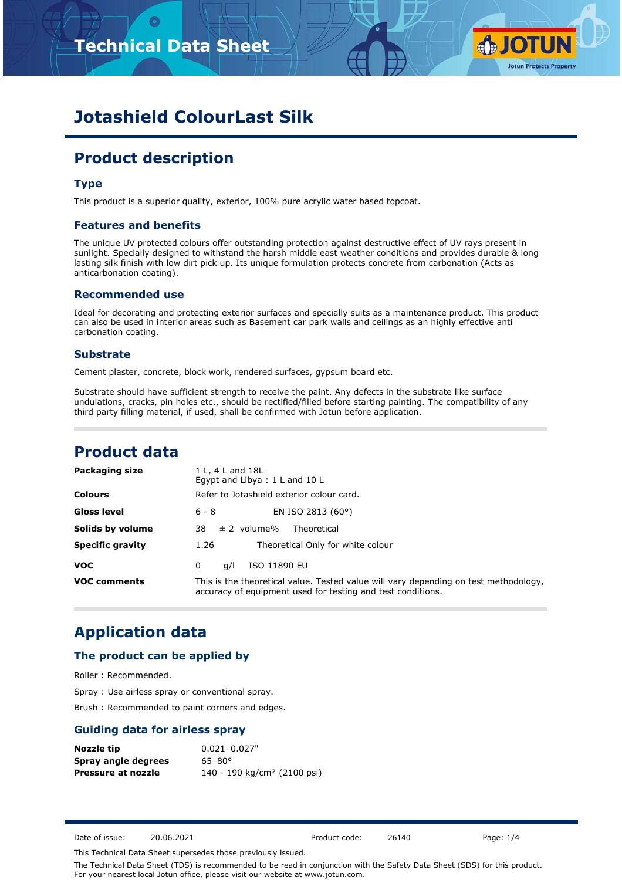# **Technical Data Sheet**



# **Jotashield ColourLast Silk**

# **Product description**

### **Type**

This product is a superior quality, exterior, 100% pure acrylic water based topcoat.

### **Features and benefits**

The unique UV protected colours offer outstanding protection against destructive effect of UV rays present in sunlight. Specially designed to withstand the harsh middle east weather conditions and provides durable & long lasting silk finish with low dirt pick up. Its unique formulation protects concrete from carbonation (Acts as anticarbonation coating).

#### **Recommended use**

Ideal for decorating and protecting exterior surfaces and specially suits as a maintenance product. This product can also be used in interior areas such as Basement car park walls and ceilings as an highly effective anti carbonation coating.

### **Substrate**

Cement plaster, concrete, block work, rendered surfaces, gypsum board etc.

Substrate should have sufficient strength to receive the paint. Any defects in the substrate like surface undulations, cracks, pin holes etc., should be rectified/filled before starting painting. The compatibility of any third party filling material, if used, shall be confirmed with Jotun before application.

## **Product data**

| Packaging size          | 1 L, 4 L and 18L<br>Egypt and Libya: 1 L and 10 L                                                                                                   |
|-------------------------|-----------------------------------------------------------------------------------------------------------------------------------------------------|
| <b>Colours</b>          | Refer to Jotashield exterior colour card.                                                                                                           |
| Gloss level             | EN ISO 2813 (60°)<br>$6 - 8$                                                                                                                        |
| Solids by volume        | $\pm$ 2 volume%<br>38<br>Theoretical                                                                                                                |
| <b>Specific gravity</b> | Theoretical Only for white colour<br>1.26                                                                                                           |
| <b>VOC</b>              | ISO 11890 EU<br>a/l<br>0                                                                                                                            |
| <b>VOC comments</b>     | This is the theoretical value. Tested value will vary depending on test methodology,<br>accuracy of equipment used for testing and test conditions. |

## **Application data**

### **The product can be applied by**

Roller : Recommended.

Spray : Use airless spray or conventional spray.

Brush : Recommended to paint corners and edges.

### **Guiding data for airless spray**

| Nozzle tip                | $0.021 - 0.027"$                        |
|---------------------------|-----------------------------------------|
| Spray angle degrees       | $65 - 80^{\circ}$                       |
| <b>Pressure at nozzle</b> | 140 - 190 kg/cm <sup>2</sup> (2100 psi) |

Date of issue: 20.06.2021 Product code: 26140 Page: 1/4

This Technical Data Sheet supersedes those previously issued.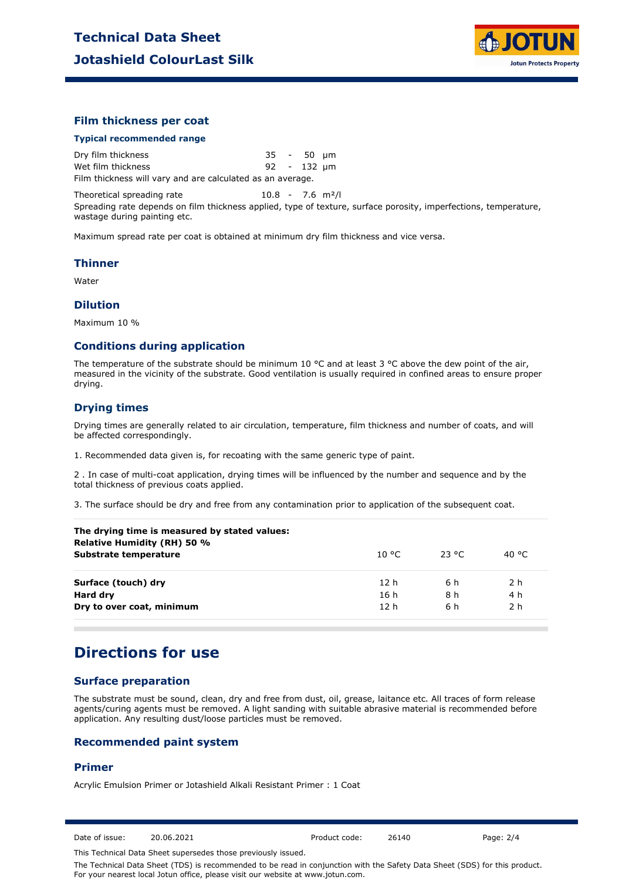

### **Film thickness per coat**

#### **Typical recommended range**

Dry film thickness 35 - 50 µm Wet film thickness 92 - 132 µm Film thickness will vary and are calculated as an average.

Theoretical spreading rate 10.8 - 7.6 m<sup>2</sup>/l

Spreading rate depends on film thickness applied, type of texture, surface porosity, imperfections, temperature, wastage during painting etc.

Maximum spread rate per coat is obtained at minimum dry film thickness and vice versa.

#### **Thinner**

Water

### **Dilution**

Maximum 10 %

### **Conditions during application**

The temperature of the substrate should be minimum 10 °C and at least 3 °C above the dew point of the air, measured in the vicinity of the substrate. Good ventilation is usually required in confined areas to ensure proper drying.

### **Drying times**

Drying times are generally related to air circulation, temperature, film thickness and number of coats, and will be affected correspondingly.

1. Recommended data given is, for recoating with the same generic type of paint.

2 . In case of multi-coat application, drying times will be influenced by the number and sequence and by the total thickness of previous coats applied.

3. The surface should be dry and free from any contamination prior to application of the subsequent coat.

| The drying time is measured by stated values:<br>Relative Humidity (RH) 50 % |                 |        |       |
|------------------------------------------------------------------------------|-----------------|--------|-------|
| Substrate temperature                                                        | 10 °C.          | -23 °C | 40 °C |
| Surface (touch) dry                                                          | 12 <sub>h</sub> | 6 h    | 2 h   |
| Hard dry                                                                     | 16 h            | 8 h    | 4 h   |
| Dry to over coat, minimum                                                    | 12 <sub>h</sub> | 6 h    | 2 h   |
|                                                                              |                 |        |       |

## **Directions for use**

## **Surface preparation**

The substrate must be sound, clean, dry and free from dust, oil, grease, laitance etc. All traces of form release agents/curing agents must be removed. A light sanding with suitable abrasive material is recommended before application. Any resulting dust/loose particles must be removed.

### **Recommended paint system**

#### **Primer**

Acrylic Emulsion Primer or Jotashield Alkali Resistant Primer : 1 Coat

Date of issue: 20.06.2021 Product code: 26140 Page: 2/4

This Technical Data Sheet supersedes those previously issued.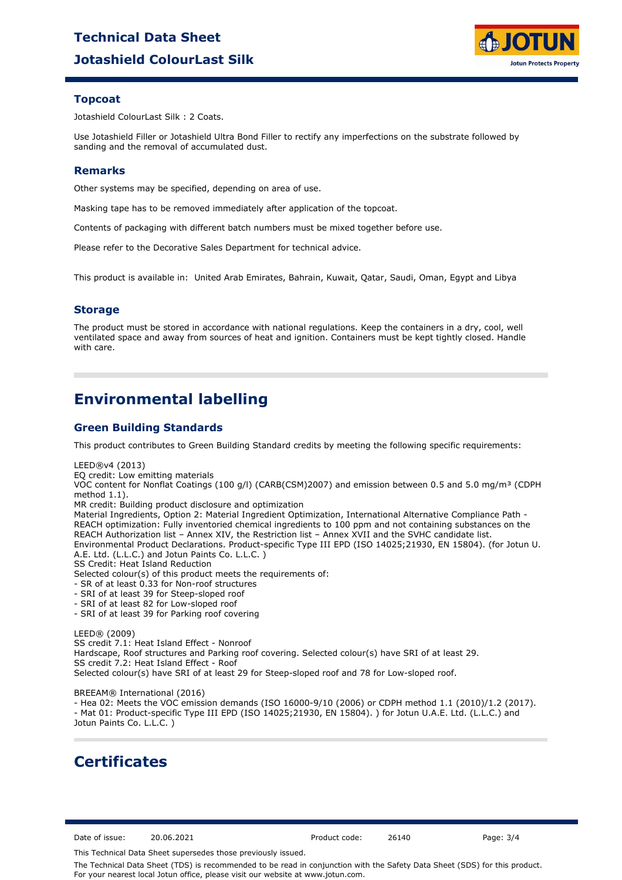# **Jotashield ColourLast Silk Technical Data Sheet**



## **Topcoat**

Jotashield ColourLast Silk : 2 Coats.

Use Jotashield Filler or Jotashield Ultra Bond Filler to rectify any imperfections on the substrate followed by sanding and the removal of accumulated dust.

### **Remarks**

Other systems may be specified, depending on area of use.

Masking tape has to be removed immediately after application of the topcoat.

Contents of packaging with different batch numbers must be mixed together before use.

Please refer to the Decorative Sales Department for technical advice.

This product is available in: United Arab Emirates, Bahrain, Kuwait, Qatar, Saudi, Oman, Egypt and Libya

## **Storage**

The product must be stored in accordance with national regulations. Keep the containers in a dry, cool, well ventilated space and away from sources of heat and ignition. Containers must be kept tightly closed. Handle with care.

# **Environmental labelling**

## **Green Building Standards**

This product contributes to Green Building Standard credits by meeting the following specific requirements:

LEED®v4 (2013)

EQ credit: Low emitting materials

VOC content for Nonflat Coatings (100 g/l) (CARB(CSM)2007) and emission between 0.5 and 5.0 mg/m<sup>3</sup> (CDPH method 1.1).

MR credit: Building product disclosure and optimization

Material Ingredients, Option 2: Material Ingredient Optimization, International Alternative Compliance Path - REACH optimization: Fully inventoried chemical ingredients to 100 ppm and not containing substances on the REACH Authorization list – Annex XIV, the Restriction list – Annex XVII and the SVHC candidate list. Environmental Product Declarations. Product-specific Type III EPD (ISO 14025;21930, EN 15804). (for Jotun U. A.E. Ltd. (L.L.C.) and Jotun Paints Co. L.L.C. )

SS Credit: Heat Island Reduction

Selected colour(s) of this product meets the requirements of:

- SR of at least 0.33 for Non-roof structures
- SRI of at least 39 for Steep-sloped roof
- SRI of at least 82 for Low-sloped roof
- SRI of at least 39 for Parking roof covering

LEED® (2009) SS credit 7.1: Heat Island Effect - Nonroof Hardscape, Roof structures and Parking roof covering. Selected colour(s) have SRI of at least 29. SS credit 7.2: Heat Island Effect - Roof Selected colour(s) have SRI of at least 29 for Steep-sloped roof and 78 for Low-sloped roof.

BREEAM® International (2016)

- Hea 02: Meets the VOC emission demands (ISO 16000-9/10 (2006) or CDPH method 1.1 (2010)/1.2 (2017). - Mat 01: Product-specific Type III EPD (ISO 14025;21930, EN 15804). ) for Jotun U.A.E. Ltd. (L.L.C.) and Jotun Paints Co. L.L.C. )

## **Certificates**

Date of issue: 20.06.2021 Product code: 26140 Page: 3/4

This Technical Data Sheet supersedes those previously issued.